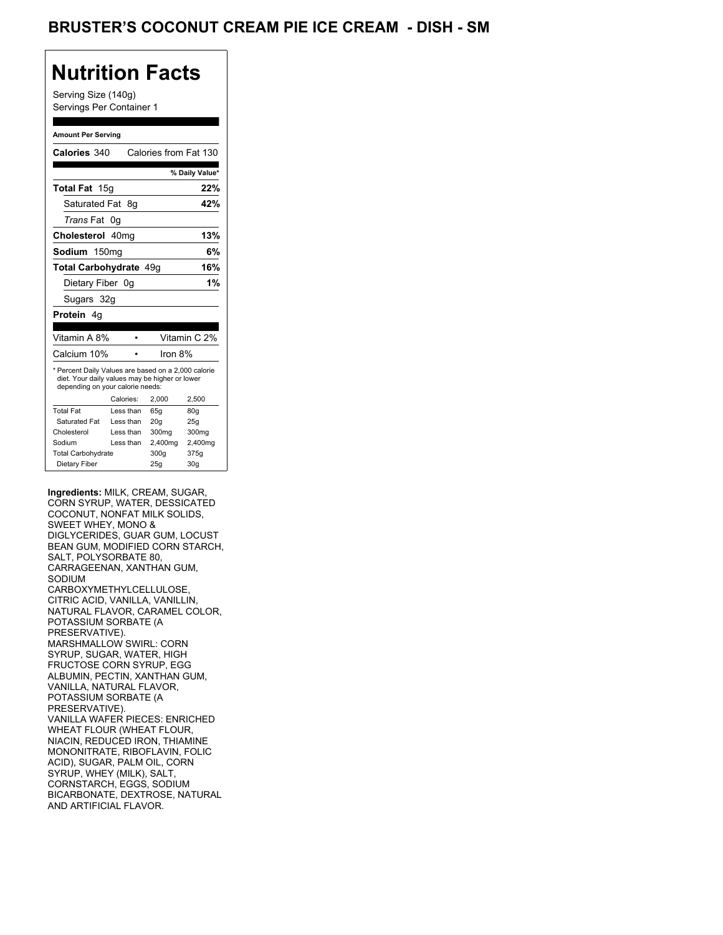### BRUSTER'S COCONUT CREAM PIE ICE CREAM - DISH - SM

### **Nutrition Facts**

Serving Size (140g) Servings Per Container 1

#### **Amount Per Serving**

| Calories 340                                                                                                                              |    |           | Calories from Fat 130 |                 |
|-------------------------------------------------------------------------------------------------------------------------------------------|----|-----------|-----------------------|-----------------|
|                                                                                                                                           |    |           |                       | % Daily Value*  |
| Total Fat 15g                                                                                                                             |    |           |                       | 22%             |
| Saturated Fat 8g                                                                                                                          |    |           |                       | 42%             |
| <i>Trans</i> Fat                                                                                                                          | 0g |           |                       |                 |
| Cholesterol 40mg                                                                                                                          |    |           |                       | 13%             |
| Sodium 150mg                                                                                                                              |    |           |                       | 6%              |
| <b>Total Carbohydrate 49g</b>                                                                                                             |    |           |                       | 16%             |
| Dietary Fiber 0q                                                                                                                          |    |           |                       | 1%              |
| Sugars 32g                                                                                                                                |    |           |                       |                 |
| <b>Protein</b> 4q                                                                                                                         |    |           |                       |                 |
|                                                                                                                                           |    |           |                       |                 |
| Vitamin A 8%                                                                                                                              |    |           |                       | Vitamin C 2%    |
| Calcium 10%                                                                                                                               |    |           | Iron $8%$             |                 |
| * Percent Daily Values are based on a 2,000 calorie<br>diet. Your daily values may be higher or lower<br>depending on your calorie needs: |    |           |                       |                 |
|                                                                                                                                           |    | Calories: | 2,000                 | 2,500           |
| <b>Total Fat</b>                                                                                                                          |    | Less than | 65g                   | 80 <sub>g</sub> |
| Saturated Fat                                                                                                                             |    | Less than | 20 <sub>g</sub>       | 25g             |
| Cholesterol                                                                                                                               |    | Less than | 300mg                 | 300mg           |
| Sodium                                                                                                                                    |    | Less than | 2,400mg               | 2,400mg         |
| <b>Total Carbohydrate</b>                                                                                                                 |    |           | 300g                  | 375g            |
| Dietary Fiber                                                                                                                             |    |           | 25q                   | 30 <sub>q</sub> |

**Ingredients:** MILK, CREAM, SUGAR, CORN SYRUP, WATER, DESSICATED COCONUT, NONFAT MILK SOLIDS, SWEET WHEY, MONO & DIGLYCERIDES, GUAR GUM, LOCUST BEAN GUM, MODIFIED CORN STARCH, SALT, POLYSORBATE 80, CARRAGEENAN, XANTHAN GUM, SODIUM CARBOXYMETHYLCELLULOSE, CITRIC ACID, VANILLA, VANILLIN, NATURAL FLAVOR, CARAMEL COLOR, POTASSIUM SORBATE (A PRESERVATIVE). MARSHMALLOW SWIRL: CORN SYRUP, SUGAR, WATER, HIGH FRUCTOSE CORN SYRUP, EGG ALBUMIN, PECTIN, XANTHAN GUM, VANILLA, NATURAL FLAVOR, POTASSIUM SORBATE (A PRESERVATIVE). VANILLA WAFER PIECES: ENRICHED WHEAT FLOUR (WHEAT FLOUR, NIACIN, REDUCED IRON, THIAMINE MONONITRATE, RIBOFLAVIN, FOLIC ACID), SUGAR, PALM OIL, CORN SYRUP, WHEY (MILK), SALT, CORNSTARCH, EGGS, SODIUM BICARBONATE, DEXTROSE, NATURAL AND ARTIFICIAL FLAVOR.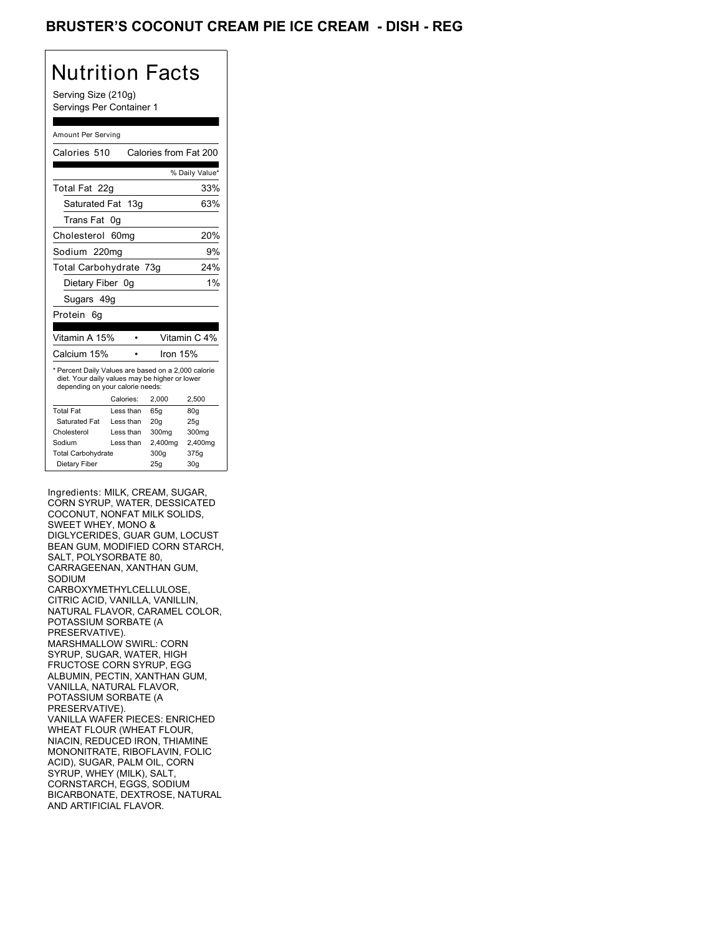### BRUSTER'S COCONUT CREAM PIE ICE CREAM - DISH - REG

# Nutrition Facts

Serving Size (210g) Servings Per Container 1

#### Amount Per Serving

| Calories 510                                                                                                                              |                  | Calories from Fat 200 |                |
|-------------------------------------------------------------------------------------------------------------------------------------------|------------------|-----------------------|----------------|
|                                                                                                                                           |                  |                       | % Daily Value* |
| Total Fat 22g                                                                                                                             |                  |                       | 33%            |
| Saturated Fat 13g                                                                                                                         |                  |                       | 63%            |
| Trans Fat                                                                                                                                 | 0g               |                       |                |
| Cholesterol                                                                                                                               | 60 <sub>mq</sub> |                       | 20%            |
| Sodium 220mg                                                                                                                              |                  |                       | 9%             |
| Total Carbohydrate 73g                                                                                                                    |                  |                       | 24%            |
| Dietary Fiber 0g                                                                                                                          |                  |                       | 1%             |
| Sugars 49g                                                                                                                                |                  |                       |                |
| Protein<br>6q                                                                                                                             |                  |                       |                |
|                                                                                                                                           |                  |                       |                |
| Vitamin A 15%                                                                                                                             |                  |                       | Vitamin C 4%   |
| Calcium 15%                                                                                                                               |                  | Iron 15%              |                |
| * Percent Daily Values are based on a 2,000 calorie<br>diet. Your daily values may be higher or lower<br>depending on your calorie needs: |                  |                       |                |
|                                                                                                                                           | Calories:        | 2.000                 | 2,500          |
| <b>Total Fat</b>                                                                                                                          | Less than        | 65q                   | 80q            |
| Saturated Fat                                                                                                                             | Less than        | 20q                   | 25q            |
| Cholesterol                                                                                                                               | Less than        | 300mg                 | 300mg          |
| Sodium                                                                                                                                    |                  |                       |                |
|                                                                                                                                           | Less than        | 2,400mg               | 2,400mg        |
| <b>Total Carbohydrate</b>                                                                                                                 |                  | 300g                  | 375g           |

Ingredients: MILK, CREAM, SUGAR, CORN SYRUP, WATER, DESSICATED COCONUT, NONFAT MILK SOLIDS, SWEET WHEY, MONO & DIGLYCERIDES, GUAR GUM, LOCUST BEAN GUM, MODIFIED CORN STARCH, SALT, POLYSORBATE 80, CARRAGEENAN, XANTHAN GUM, SODIUM CARBOXYMETHYLCELLULOSE, CITRIC ACID, VANILLA, VANILLIN, NATURAL FLAVOR, CARAMEL COLOR, POTASSIUM SORBATE (A PRESERVATIVE). MARSHMALLOW SWIRL: CORN SYRUP, SUGAR, WATER, HIGH FRUCTOSE CORN SYRUP, EGG ALBUMIN, PECTIN, XANTHAN GUM, VANILLA, NATURAL FLAVOR, POTASSIUM SORBATE (A PRESERVATIVE). VANILLA WAFER PIECES: ENRICHED WHEAT FLOUR (WHEAT FLOUR, NIACIN, REDUCED IRON, THIAMINE MONONITRATE, RIBOFLAVIN, FOLIC ACID), SUGAR, PALM OIL, CORN SYRUP, WHEY (MILK), SALT, CORNSTARCH, EGGS, SODIUM BICARBONATE, DEXTROSE, NATURAL AND ARTIFICIAL FLAVOR.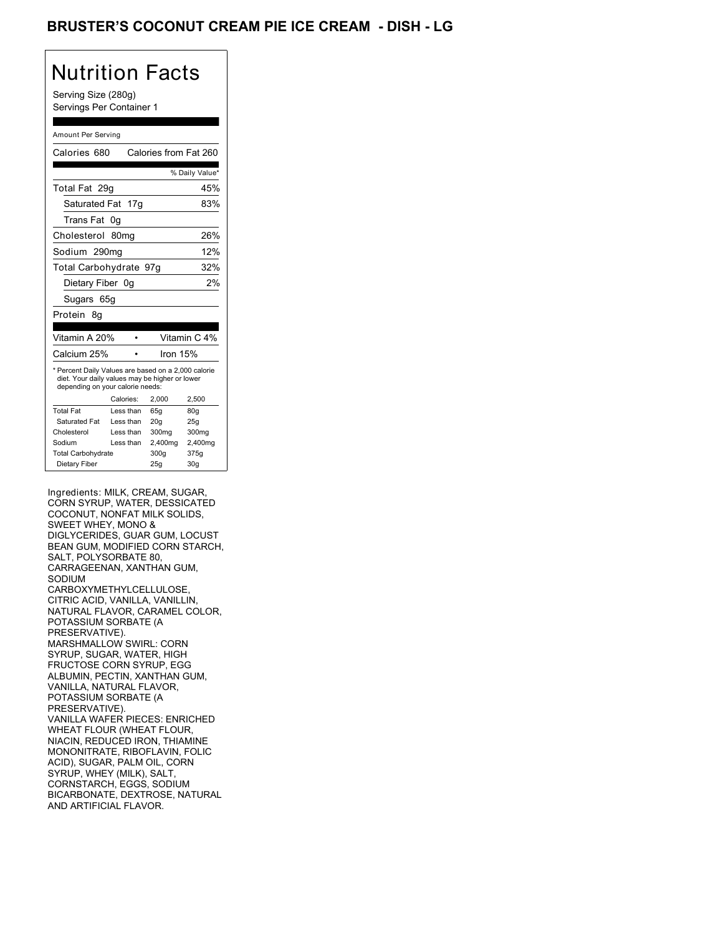### BRUSTER'S COCONUT CREAM PIE ICE CREAM - DISH <mark>-</mark> LG

# Nutrition Facts

Serving Size (280g) Servings Per Container 1

#### Amount Per Serving

|                                  |                                                                                                       | % Daily Value*                                  |
|----------------------------------|-------------------------------------------------------------------------------------------------------|-------------------------------------------------|
|                                  |                                                                                                       | 45%                                             |
| Saturated Fat 17g                |                                                                                                       | 83%                                             |
| 0g                               |                                                                                                       |                                                 |
| 80 <sub>mq</sub>                 |                                                                                                       | 26%                                             |
| Sodium 290mg                     |                                                                                                       | 12%                                             |
|                                  |                                                                                                       | 32%                                             |
| Dietary Fiber 0g                 |                                                                                                       | 2%                                              |
| Sugars 65g                       |                                                                                                       |                                                 |
|                                  |                                                                                                       |                                                 |
|                                  |                                                                                                       |                                                 |
| Vitamin A 20%                    |                                                                                                       | Vitamin C 4%                                    |
|                                  |                                                                                                       |                                                 |
|                                  | Iron 15%                                                                                              |                                                 |
| depending on your calorie needs: | * Percent Daily Values are based on a 2,000 calorie<br>diet. Your daily values may be higher or lower |                                                 |
| Calories:                        | 2.000                                                                                                 | 2,500                                           |
| Less than                        | 65q                                                                                                   | 80q                                             |
| Less than                        | 20q                                                                                                   | 25q                                             |
| Less than                        | 300mg                                                                                                 | 300mg                                           |
| Less than                        | 2,400mg                                                                                               | 2,400mg                                         |
|                                  | 300g                                                                                                  | 375g                                            |
|                                  |                                                                                                       | Calories from Fat 260<br>Total Carbohydrate 97q |

Ingredients: MILK, CREAM, SUGAR, CORN SYRUP, WATER, DESSICATED COCONUT, NONFAT MILK SOLIDS, SWEET WHEY, MONO & DIGLYCERIDES, GUAR GUM, LOCUST BEAN GUM, MODIFIED CORN STARCH, SALT, POLYSORBATE 80, CARRAGEENAN, XANTHAN GUM, SODIUM CARBOXYMETHYLCELLULOSE, CITRIC ACID, VANILLA, VANILLIN, NATURAL FLAVOR, CARAMEL COLOR, POTASSIUM SORBATE (A PRESERVATIVE). MARSHMALLOW SWIRL: CORN SYRUP, SUGAR, WATER, HIGH FRUCTOSE CORN SYRUP, EGG ALBUMIN, PECTIN, XANTHAN GUM, VANILLA, NATURAL FLAVOR, POTASSIUM SORBATE (A PRESERVATIVE). VANILLA WAFER PIECES: ENRICHED WHEAT FLOUR (WHEAT FLOUR, NIACIN, REDUCED IRON, THIAMINE MONONITRATE, RIBOFLAVIN, FOLIC ACID), SUGAR, PALM OIL, CORN SYRUP, WHEY (MILK), SALT, CORNSTARCH, EGGS, SODIUM BICARBONATE, DEXTROSE, NATURAL AND ARTIFICIAL FLAVOR.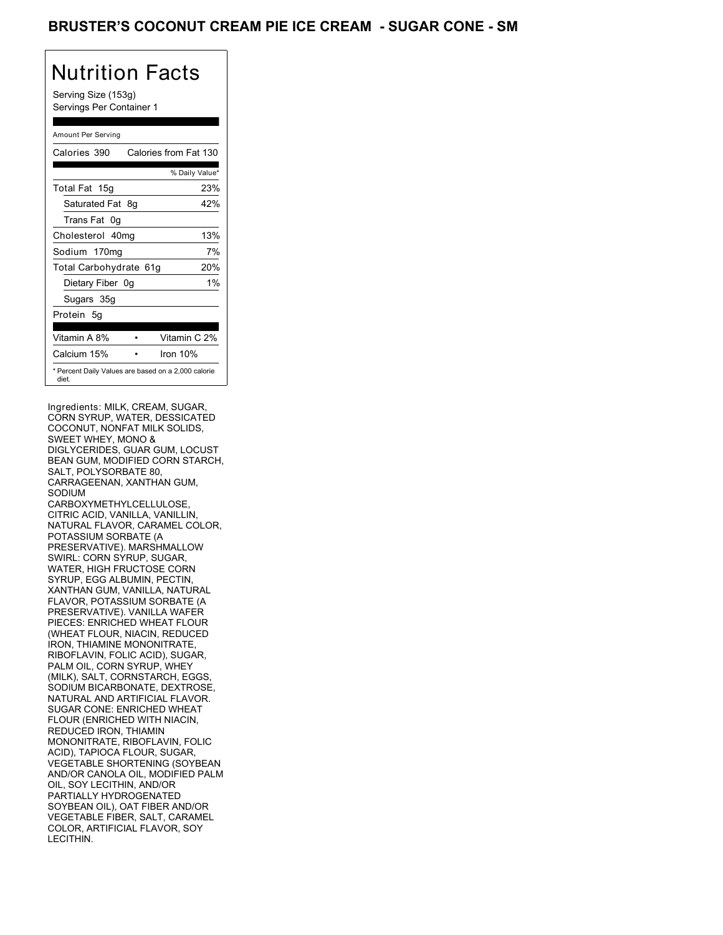Serving Size (153g) Servings Per Container 1

#### Amount Per Serving

| Calories 390           | Calories from Fat 130                               |
|------------------------|-----------------------------------------------------|
|                        | % Daily Value*                                      |
| Total Fat 15g          | 23%                                                 |
| Saturated Fat 8q       | 42%                                                 |
| Trans Fat 0q           |                                                     |
| Cholesterol 40mg       | 13%                                                 |
| Sodium 170mg           | 7%                                                  |
| Total Carbohydrate 61g | 20%                                                 |
| Dietary Fiber 0g       | $1\%$                                               |
| Sugars 35g             |                                                     |
| Protein 5q             |                                                     |
| Vitamin A 8%           | Vitamin C 2%                                        |
| Calcium 15%            | Iron 10%                                            |
| diet.                  | * Percent Daily Values are based on a 2,000 calorie |

Ingredients: MILK, CREAM, SUGAR, CORN SYRUP, WATER, DESSICATED COCONUT, NONFAT MILK SOLIDS, SWEET WHEY, MONO & DIGLYCERIDES, GUAR GUM, LOCUST BEAN GUM, MODIFIED CORN STARCH, SALT, POLYSORBATE 80, CARRAGEENAN, XANTHAN GUM, SODIUM CARBOXYMETHYLCELLULOSE, CITRIC ACID, VANILLA, VANILLIN, NATURAL FLAVOR, CARAMEL COLOR, POTASSIUM SORBATE (A PRESERVATIVE). MARSHMALLOW SWIRL: CORN SYRUP, SUGAR, WATER, HIGH FRUCTOSE CORN SYRUP, EGG ALBUMIN, PECTIN, XANTHAN GUM, VANILLA, NATURAL FLAVOR, POTASSIUM SORBATE (A PRESERVATIVE). VANILLA WAFER PIECES: ENRICHED WHEAT FLOUR (WHEAT FLOUR, NIACIN, REDUCED IRON, THIAMINE MONONITRATE, RIBOFLAVIN, FOLIC ACID), SUGAR, PALM OIL, CORN SYRUP, WHEY (MILK), SALT, CORNSTARCH, EGGS, SODIUM BICARBONATE, DEXTROSE, NATURAL AND ARTIFICIAL FLAVOR. SUGAR CONE: ENRICHED WHEAT FLOUR (ENRICHED WITH NIACIN, REDUCED IRON, THIAMIN MONONITRATE, RIBOFLAVIN, FOLIC ACID), TAPIOCA FLOUR, SUGAR, VEGETABLE SHORTENING (SOYBEAN AND/OR CANOLA OIL, MODIFIED PALM OIL, SOY LECITHIN, AND/OR PARTIALLY HYDROGENATED SOYBEAN OIL), OAT FIBER AND/OR VEGETABLE FIBER, SALT, CARAMEL COLOR, ARTIFICIAL FLAVOR, SOY LECITHIN.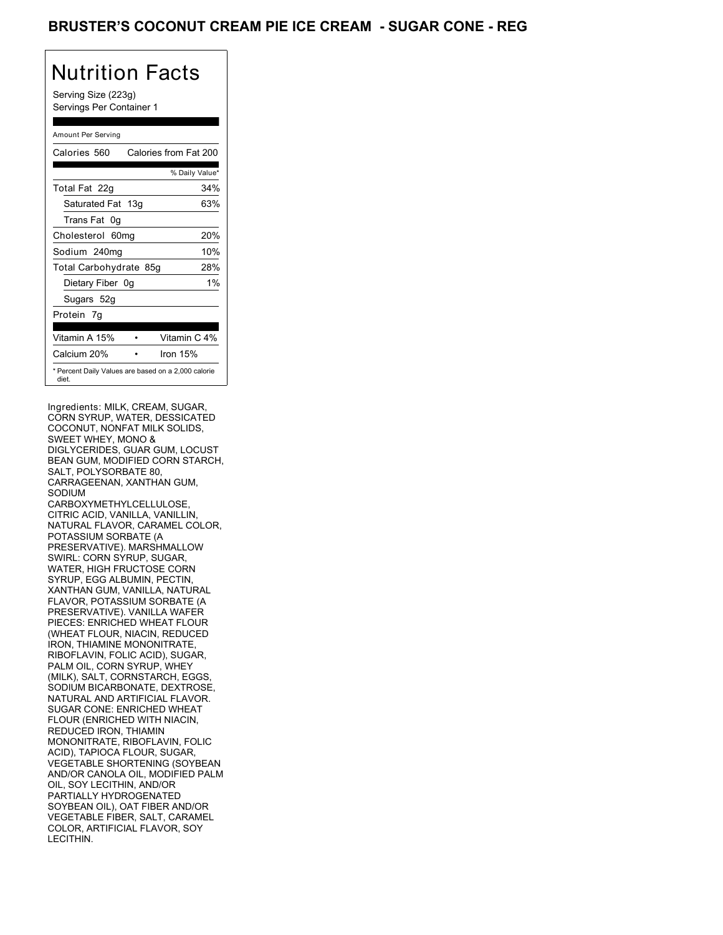Serving Size (223g) Servings Per Container 1

#### Amount Per Serving

| Calories 560           | Calories from Fat 200                               |
|------------------------|-----------------------------------------------------|
|                        | % Daily Value*                                      |
| Total Fat 22g          | 34%                                                 |
| Saturated Fat 13g      | 63%                                                 |
| Trans Fat 0q           |                                                     |
| Cholesterol 60mg       | 20%                                                 |
| Sodium 240mg           | 10%                                                 |
| Total Carbohydrate 85g | 28%                                                 |
| Dietary Fiber 0g       | 1%                                                  |
| Sugars 52g             |                                                     |
| Protein 7q             |                                                     |
| Vitamin A 15%          | Vitamin C 4%                                        |
| Calcium 20%            | Iron 15%                                            |
| diet.                  | * Percent Daily Values are based on a 2,000 calorie |

Ingredients: MILK, CREAM, SUGAR, CORN SYRUP, WATER, DESSICATED COCONUT, NONFAT MILK SOLIDS, SWEET WHEY, MONO & DIGLYCERIDES, GUAR GUM, LOCUST BEAN GUM, MODIFIED CORN STARCH, SALT, POLYSORBATE 80, CARRAGEENAN, XANTHAN GUM, SODIUM CARBOXYMETHYLCELLULOSE, CITRIC ACID, VANILLA, VANILLIN, NATURAL FLAVOR, CARAMEL COLOR, POTASSIUM SORBATE (A PRESERVATIVE). MARSHMALLOW SWIRL: CORN SYRUP, SUGAR, WATER, HIGH FRUCTOSE CORN SYRUP, EGG ALBUMIN, PECTIN, XANTHAN GUM, VANILLA, NATURAL FLAVOR, POTASSIUM SORBATE (A PRESERVATIVE). VANILLA WAFER PIECES: ENRICHED WHEAT FLOUR (WHEAT FLOUR, NIACIN, REDUCED IRON, THIAMINE MONONITRATE, RIBOFLAVIN, FOLIC ACID), SUGAR, PALM OIL, CORN SYRUP, WHEY (MILK), SALT, CORNSTARCH, EGGS, SODIUM BICARBONATE, DEXTROSE, NATURAL AND ARTIFICIAL FLAVOR. SUGAR CONE: ENRICHED WHEAT FLOUR (ENRICHED WITH NIACIN, REDUCED IRON, THIAMIN MONONITRATE, RIBOFLAVIN, FOLIC ACID), TAPIOCA FLOUR, SUGAR, VEGETABLE SHORTENING (SOYBEAN AND/OR CANOLA OIL, MODIFIED PALM OIL, SOY LECITHIN, AND/OR PARTIALLY HYDROGENATED SOYBEAN OIL), OAT FIBER AND/OR VEGETABLE FIBER, SALT, CARAMEL COLOR, ARTIFICIAL FLAVOR, SOY LECITHIN.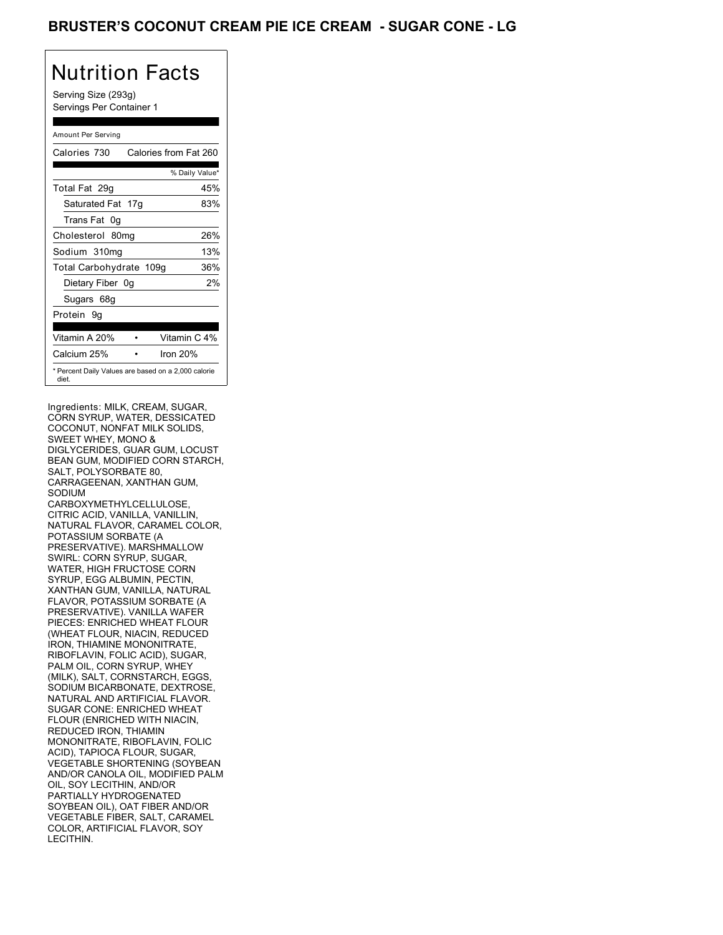### BRUSTER'S COCONUT CREAM PIE ICE CREAM - SUGAR CONE - LG

# Nutrition Facts

Serving Size (293g) Servings Per Container 1

#### Amount Per Serving

| Calories 730            | Calories from Fat 260                               |
|-------------------------|-----------------------------------------------------|
|                         | % Daily Value*                                      |
| Total Fat 29g           | 45%                                                 |
| Saturated Fat 17g       | 83%                                                 |
| Trans Fat 0q            |                                                     |
| Cholesterol 80mg        | 26%                                                 |
| Sodium 310mg            | 13%                                                 |
| Total Carbohydrate 109g | 36%                                                 |
| Dietary Fiber 0g        | 2%                                                  |
| Sugars 68g              |                                                     |
| Protein 9q              |                                                     |
| Vitamin A 20%           | Vitamin C 4%                                        |
| Calcium 25%             | Iron 20%                                            |
| diet.                   | * Percent Daily Values are based on a 2,000 calorie |

Ingredients: MILK, CREAM, SUGAR, CORN SYRUP, WATER, DESSICATED COCONUT, NONFAT MILK SOLIDS, SWEET WHEY, MONO & DIGLYCERIDES, GUAR GUM, LOCUST BEAN GUM, MODIFIED CORN STARCH, SALT, POLYSORBATE 80, CARRAGEENAN, XANTHAN GUM, SODIUM CARBOXYMETHYLCELLULOSE, CITRIC ACID, VANILLA, VANILLIN, NATURAL FLAVOR, CARAMEL COLOR, POTASSIUM SORBATE (A PRESERVATIVE). MARSHMALLOW SWIRL: CORN SYRUP, SUGAR, WATER, HIGH FRUCTOSE CORN SYRUP, EGG ALBUMIN, PECTIN, XANTHAN GUM, VANILLA, NATURAL FLAVOR, POTASSIUM SORBATE (A PRESERVATIVE). VANILLA WAFER PIECES: ENRICHED WHEAT FLOUR (WHEAT FLOUR, NIACIN, REDUCED IRON, THIAMINE MONONITRATE, RIBOFLAVIN, FOLIC ACID), SUGAR, PALM OIL, CORN SYRUP, WHEY (MILK), SALT, CORNSTARCH, EGGS, SODIUM BICARBONATE, DEXTROSE, NATURAL AND ARTIFICIAL FLAVOR. SUGAR CONE: ENRICHED WHEAT FLOUR (ENRICHED WITH NIACIN, REDUCED IRON, THIAMIN MONONITRATE, RIBOFLAVIN, FOLIC ACID), TAPIOCA FLOUR, SUGAR, VEGETABLE SHORTENING (SOYBEAN AND/OR CANOLA OIL, MODIFIED PALM OIL, SOY LECITHIN, AND/OR PARTIALLY HYDROGENATED SOYBEAN OIL), OAT FIBER AND/OR VEGETABLE FIBER, SALT, CARAMEL COLOR, ARTIFICIAL FLAVOR, SOY LECITHIN.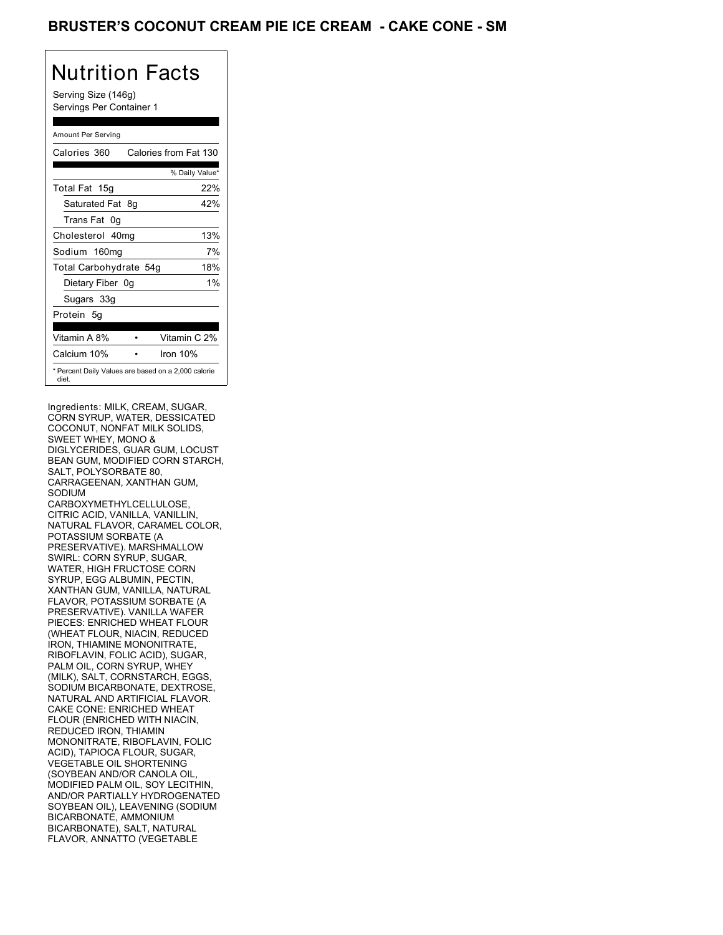Serving Size (146g) Servings Per Container 1

#### Amount Per Serving

| Calories 360           | Calories from Fat 130                               |
|------------------------|-----------------------------------------------------|
|                        | % Daily Value*                                      |
| Total Fat 15g          | 22%                                                 |
| Saturated Fat 8q       | 42%                                                 |
| Trans Fat 0q           |                                                     |
| Cholesterol 40mg       | 13%                                                 |
| Sodium 160mg           | 7%                                                  |
| Total Carbohydrate 54g | 18%                                                 |
| Dietary Fiber 0g       | $1\%$                                               |
| Sugars 33g             |                                                     |
| Protein 5q             |                                                     |
| Vitamin A 8%           | Vitamin C 2%                                        |
| Calcium 10%            | Iron 10%                                            |
| diet.                  | * Percent Daily Values are based on a 2,000 calorie |

Ingredients: MILK, CREAM, SUGAR, CORN SYRUP, WATER, DESSICATED COCONUT, NONFAT MILK SOLIDS, SWEET WHEY, MONO & DIGLYCERIDES, GUAR GUM, LOCUST BEAN GUM, MODIFIED CORN STARCH, SALT, POLYSORBATE 80, CARRAGEENAN, XANTHAN GUM, SODIUM CARBOXYMETHYLCELLULOSE, CITRIC ACID, VANILLA, VANILLIN, NATURAL FLAVOR, CARAMEL COLOR, POTASSIUM SORBATE (A PRESERVATIVE). MARSHMALLOW SWIRL: CORN SYRUP, SUGAR, WATER, HIGH FRUCTOSE CORN SYRUP, EGG ALBUMIN, PECTIN, XANTHAN GUM, VANILLA, NATURAL FLAVOR, POTASSIUM SORBATE (A PRESERVATIVE). VANILLA WAFER PIECES: ENRICHED WHEAT FLOUR (WHEAT FLOUR, NIACIN, REDUCED IRON, THIAMINE MONONITRATE, RIBOFLAVIN, FOLIC ACID), SUGAR, PALM OIL, CORN SYRUP, WHEY (MILK), SALT, CORNSTARCH, EGGS, SODIUM BICARBONATE, DEXTROSE, NATURAL AND ARTIFICIAL FLAVOR. CAKE CONE: ENRICHED WHEAT FLOUR (ENRICHED WITH NIACIN, REDUCED IRON, THIAMIN MONONITRATE, RIBOFLAVIN, FOLIC ACID), TAPIOCA FLOUR, SUGAR, VEGETABLE OIL SHORTENING (SOYBEAN AND/OR CANOLA OIL, MODIFIED PALM OIL, SOY LECITHIN, AND/OR PARTIALLY HYDROGENATED SOYBEAN OIL), LEAVENING (SODIUM BICARBONATE, AMMONIUM BICARBONATE), SALT, NATURAL FLAVOR, ANNATTO (VEGETABLE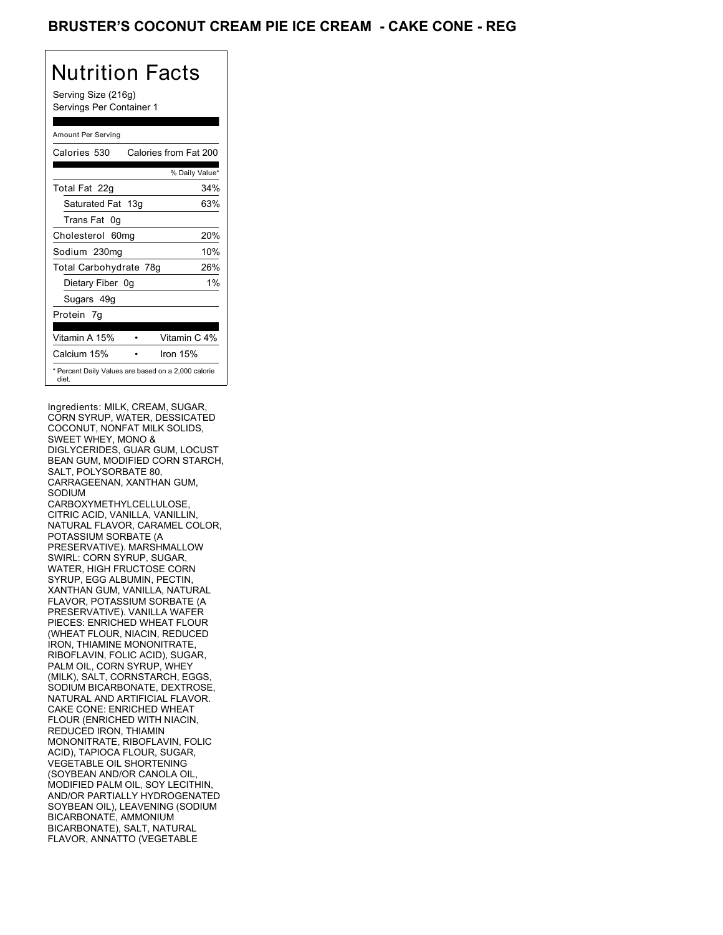Serving Size (216g) Servings Per Container 1

#### Amount Per Serving

| Calories 530           | Calories from Fat 200                               |
|------------------------|-----------------------------------------------------|
|                        | % Daily Value*                                      |
| Total Fat 22g          | 34%                                                 |
| Saturated Fat 13g      | 63%                                                 |
| Trans Fat 0q           |                                                     |
| Cholesterol 60mg       | 20%                                                 |
| Sodium 230mg           | 10%                                                 |
| Total Carbohydrate 78g | 26%                                                 |
| Dietary Fiber 0g       | $1\%$                                               |
| Sugars 49g             |                                                     |
| Protein 7q             |                                                     |
| Vitamin A 15%          | Vitamin C 4%                                        |
| Calcium 15%            | Iron $15%$                                          |
| diet.                  | * Percent Daily Values are based on a 2,000 calorie |

Ingredients: MILK, CREAM, SUGAR, CORN SYRUP, WATER, DESSICATED COCONUT, NONFAT MILK SOLIDS, SWEET WHEY, MONO & DIGLYCERIDES, GUAR GUM, LOCUST BEAN GUM, MODIFIED CORN STARCH, SALT, POLYSORBATE 80, CARRAGEENAN, XANTHAN GUM, SODIUM CARBOXYMETHYLCELLULOSE, CITRIC ACID, VANILLA, VANILLIN, NATURAL FLAVOR, CARAMEL COLOR, POTASSIUM SORBATE (A PRESERVATIVE). MARSHMALLOW SWIRL: CORN SYRUP, SUGAR, WATER, HIGH FRUCTOSE CORN SYRUP, EGG ALBUMIN, PECTIN, XANTHAN GUM, VANILLA, NATURAL FLAVOR, POTASSIUM SORBATE (A PRESERVATIVE). VANILLA WAFER PIECES: ENRICHED WHEAT FLOUR (WHEAT FLOUR, NIACIN, REDUCED IRON, THIAMINE MONONITRATE, RIBOFLAVIN, FOLIC ACID), SUGAR, PALM OIL, CORN SYRUP, WHEY (MILK), SALT, CORNSTARCH, EGGS, SODIUM BICARBONATE, DEXTROSE, NATURAL AND ARTIFICIAL FLAVOR. CAKE CONE: ENRICHED WHEAT FLOUR (ENRICHED WITH NIACIN, REDUCED IRON, THIAMIN MONONITRATE, RIBOFLAVIN, FOLIC ACID), TAPIOCA FLOUR, SUGAR, VEGETABLE OIL SHORTENING (SOYBEAN AND/OR CANOLA OIL, MODIFIED PALM OIL, SOY LECITHIN, AND/OR PARTIALLY HYDROGENATED SOYBEAN OIL), LEAVENING (SODIUM BICARBONATE, AMMONIUM BICARBONATE), SALT, NATURAL FLAVOR, ANNATTO (VEGETABLE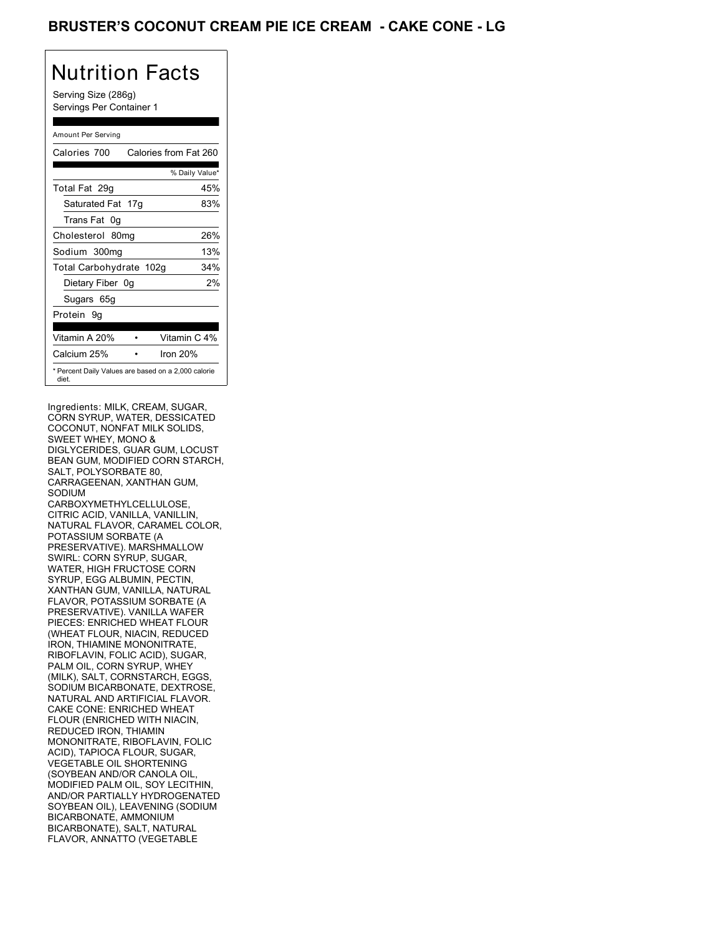Serving Size (286g) Servings Per Container 1

#### Amount Per Serving

| Calories 700            | Calories from Fat 260                               |
|-------------------------|-----------------------------------------------------|
|                         | % Daily Value*                                      |
| Total Fat 29g           | 45%                                                 |
| Saturated Fat 17g       | 83%                                                 |
| Trans Fat 0q            |                                                     |
| Cholesterol 80mg        | 26%                                                 |
| Sodium 300mg            | 13%                                                 |
| Total Carbohydrate 102g | 34%                                                 |
| Dietary Fiber 0g        | 2%                                                  |
| Sugars 65g              |                                                     |
| Protein 9q              |                                                     |
| Vitamin A 20%           | Vitamin C 4%                                        |
| Calcium 25%             | Iron $20%$                                          |
| diet.                   | * Percent Daily Values are based on a 2,000 calorie |

Ingredients: MILK, CREAM, SUGAR, CORN SYRUP, WATER, DESSICATED COCONUT, NONFAT MILK SOLIDS, SWEET WHEY, MONO & DIGLYCERIDES, GUAR GUM, LOCUST BEAN GUM, MODIFIED CORN STARCH, SALT, POLYSORBATE 80, CARRAGEENAN, XANTHAN GUM, SODIUM CARBOXYMETHYLCELLULOSE, CITRIC ACID, VANILLA, VANILLIN, NATURAL FLAVOR, CARAMEL COLOR, POTASSIUM SORBATE (A PRESERVATIVE). MARSHMALLOW SWIRL: CORN SYRUP, SUGAR, WATER, HIGH FRUCTOSE CORN SYRUP, EGG ALBUMIN, PECTIN, XANTHAN GUM, VANILLA, NATURAL FLAVOR, POTASSIUM SORBATE (A PRESERVATIVE). VANILLA WAFER PIECES: ENRICHED WHEAT FLOUR (WHEAT FLOUR, NIACIN, REDUCED IRON, THIAMINE MONONITRATE, RIBOFLAVIN, FOLIC ACID), SUGAR, PALM OIL, CORN SYRUP, WHEY (MILK), SALT, CORNSTARCH, EGGS, SODIUM BICARBONATE, DEXTROSE, NATURAL AND ARTIFICIAL FLAVOR. CAKE CONE: ENRICHED WHEAT FLOUR (ENRICHED WITH NIACIN, REDUCED IRON, THIAMIN MONONITRATE, RIBOFLAVIN, FOLIC ACID), TAPIOCA FLOUR, SUGAR, VEGETABLE OIL SHORTENING (SOYBEAN AND/OR CANOLA OIL, MODIFIED PALM OIL, SOY LECITHIN, AND/OR PARTIALLY HYDROGENATED SOYBEAN OIL), LEAVENING (SODIUM BICARBONATE, AMMONIUM BICARBONATE), SALT, NATURAL FLAVOR, ANNATTO (VEGETABLE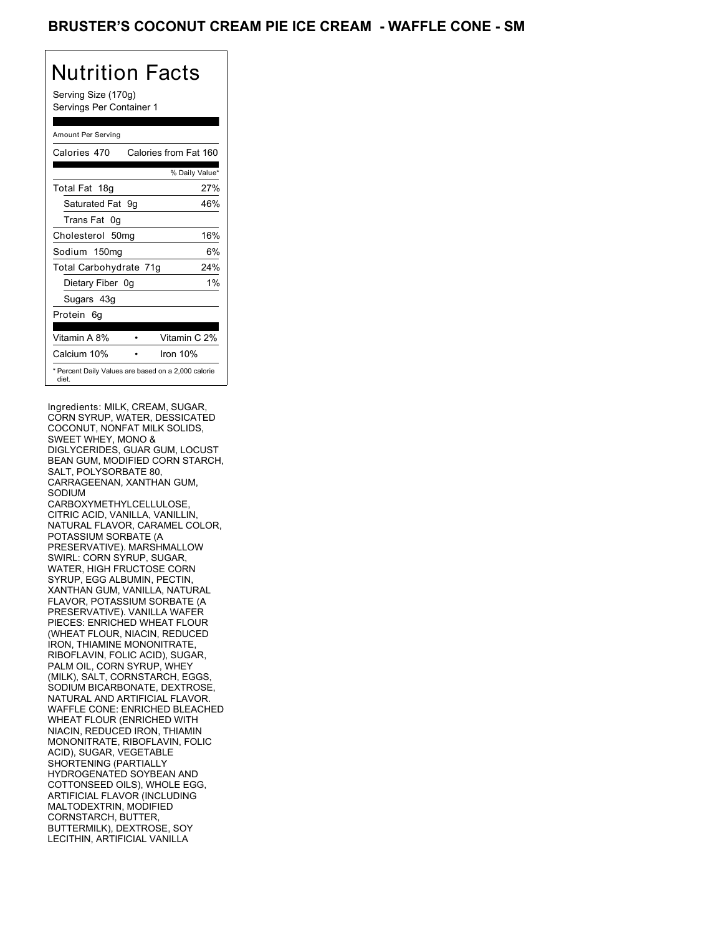Serving Size (170g) Servings Per Container 1

#### Amount Per Serving

| Calories 470                                                 | Calories from Fat 160 |       |
|--------------------------------------------------------------|-----------------------|-------|
|                                                              | % Daily Value*        |       |
| Total Fat 18g                                                |                       | 27%   |
| Saturated Fat 9q                                             |                       | 46%   |
| Trans Fat 0q                                                 |                       |       |
| Cholesterol 50mg                                             |                       | 16%   |
| Sodium 150mg                                                 |                       | 6%    |
| Total Carbohydrate 71g                                       |                       | 24%   |
| Dietary Fiber 0g                                             |                       | $1\%$ |
| Sugars 43g                                                   |                       |       |
| Protein 6q                                                   |                       |       |
| Vitamin A 8%                                                 | Vitamin C 2%          |       |
| Calcium 10%                                                  | Iron $10%$            |       |
| * Percent Daily Values are based on a 2,000 calorie<br>diet. |                       |       |

Ingredients: MILK, CREAM, SUGAR, CORN SYRUP, WATER, DESSICATED COCONUT, NONFAT MILK SOLIDS, SWEET WHEY, MONO & DIGLYCERIDES, GUAR GUM, LOCUST BEAN GUM, MODIFIED CORN STARCH, SALT, POLYSORBATE 80, CARRAGEENAN, XANTHAN GUM, SODIUM CARBOXYMETHYLCELLULOSE, CITRIC ACID, VANILLA, VANILLIN, NATURAL FLAVOR, CARAMEL COLOR, POTASSIUM SORBATE (A PRESERVATIVE). MARSHMALLOW SWIRL: CORN SYRUP, SUGAR, WATER, HIGH FRUCTOSE CORN SYRUP, EGG ALBUMIN, PECTIN, XANTHAN GUM, VANILLA, NATURAL FLAVOR, POTASSIUM SORBATE (A PRESERVATIVE). VANILLA WAFER PIECES: ENRICHED WHEAT FLOUR (WHEAT FLOUR, NIACIN, REDUCED IRON, THIAMINE MONONITRATE, RIBOFLAVIN, FOLIC ACID), SUGAR, PALM OIL, CORN SYRUP, WHEY (MILK), SALT, CORNSTARCH, EGGS, SODIUM BICARBONATE, DEXTROSE, NATURAL AND ARTIFICIAL FLAVOR. WAFFLE CONE: ENRICHED BLEACHED WHEAT FLOUR (ENRICHED WITH NIACIN, REDUCED IRON, THIAMIN MONONITRATE, RIBOFLAVIN, FOLIC ACID), SUGAR, VEGETABLE SHORTENING (PARTIALLY HYDROGENATED SOYBEAN AND COTTONSEED OILS), WHOLE EGG, ARTIFICIAL FLAVOR (INCLUDING MALTODEXTRIN, MODIFIED CORNSTARCH, BUTTER, BUTTERMILK), DEXTROSE, SOY LECITHIN, ARTIFICIAL VANILLA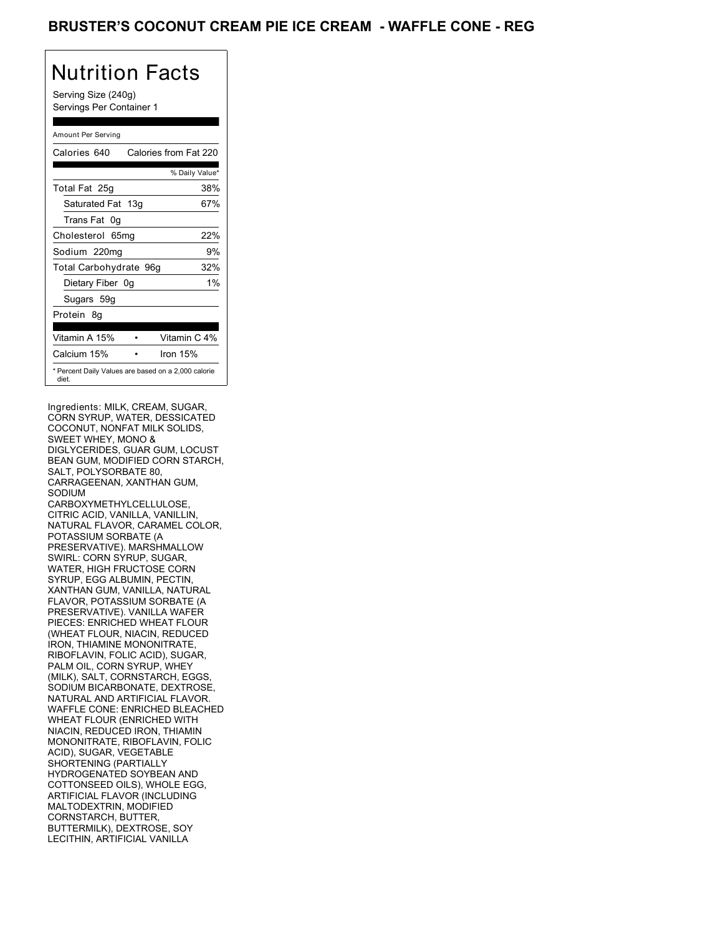Serving Size (240g) Servings Per Container 1

#### Amount Per Serving

| Calories 640                                                 | Calories from Fat 220 |
|--------------------------------------------------------------|-----------------------|
|                                                              | % Daily Value*        |
| Total Fat 25g                                                | 38%                   |
| Saturated Fat 13g                                            | 67%                   |
| Trans Fat 0q                                                 |                       |
| Cholesterol 65mg                                             | 22%                   |
| Sodium 220mg                                                 | 9%                    |
| Total Carbohydrate 96g                                       | 32%                   |
| Dietary Fiber 0g                                             | $1\%$                 |
| Sugars 59g                                                   |                       |
| Protein 8q                                                   |                       |
| Vitamin A 15%                                                | Vitamin C 4%          |
| Calcium 15%                                                  | Iron $15%$            |
| * Percent Daily Values are based on a 2,000 calorie<br>diet. |                       |

Ingredients: MILK, CREAM, SUGAR, CORN SYRUP, WATER, DESSICATED COCONUT, NONFAT MILK SOLIDS, SWEET WHEY, MONO & DIGLYCERIDES, GUAR GUM, LOCUST BEAN GUM, MODIFIED CORN STARCH, SALT, POLYSORBATE 80, CARRAGEENAN, XANTHAN GUM, SODIUM CARBOXYMETHYLCELLULOSE, CITRIC ACID, VANILLA, VANILLIN, NATURAL FLAVOR, CARAMEL COLOR, POTASSIUM SORBATE (A PRESERVATIVE). MARSHMALLOW SWIRL: CORN SYRUP, SUGAR, WATER, HIGH FRUCTOSE CORN SYRUP, EGG ALBUMIN, PECTIN, XANTHAN GUM, VANILLA, NATURAL FLAVOR, POTASSIUM SORBATE (A PRESERVATIVE). VANILLA WAFER PIECES: ENRICHED WHEAT FLOUR (WHEAT FLOUR, NIACIN, REDUCED IRON, THIAMINE MONONITRATE, RIBOFLAVIN, FOLIC ACID), SUGAR, PALM OIL, CORN SYRUP, WHEY (MILK), SALT, CORNSTARCH, EGGS, SODIUM BICARBONATE, DEXTROSE, NATURAL AND ARTIFICIAL FLAVOR. WAFFLE CONE: ENRICHED BLEACHED WHEAT FLOUR (ENRICHED WITH NIACIN, REDUCED IRON, THIAMIN MONONITRATE, RIBOFLAVIN, FOLIC ACID), SUGAR, VEGETABLE SHORTENING (PARTIALLY HYDROGENATED SOYBEAN AND COTTONSEED OILS), WHOLE EGG, ARTIFICIAL FLAVOR (INCLUDING MALTODEXTRIN, MODIFIED CORNSTARCH, BUTTER, BUTTERMILK), DEXTROSE, SOY LECITHIN, ARTIFICIAL VANILLA